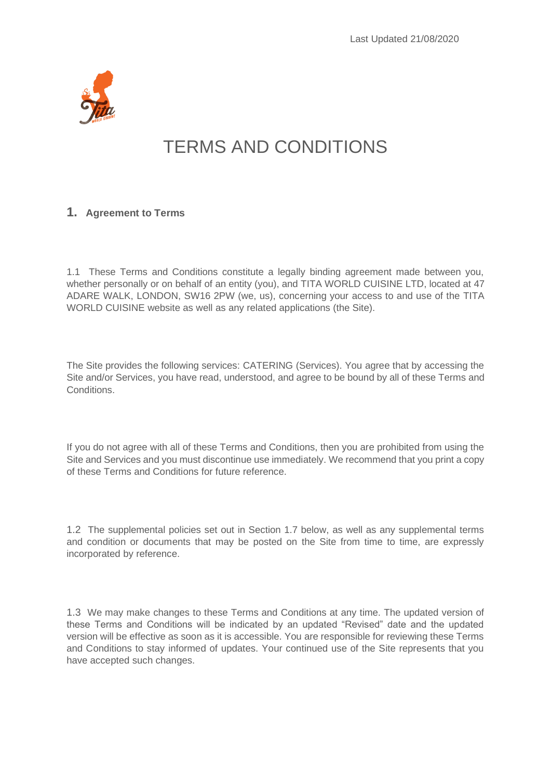

# TERMS AND CONDITIONS

#### **1. Agreement to Terms**

1.1 These Terms and Conditions constitute a legally binding agreement made between you, whether personally or on behalf of an entity (you), and TITA WORLD CUISINE LTD, located at 47 ADARE WALK, LONDON, SW16 2PW (we, us), concerning your access to and use of the TITA WORLD CUISINE website as well as any related applications (the Site).

The Site provides the following services: CATERING (Services). You agree that by accessing the Site and/or Services, you have read, understood, and agree to be bound by all of these Terms and Conditions.

If you do not agree with all of these Terms and Conditions, then you are prohibited from using the Site and Services and you must discontinue use immediately. We recommend that you print a copy of these Terms and Conditions for future reference.

1.2 The supplemental policies set out in Section 1.7 below, as well as any supplemental terms and condition or documents that may be posted on the Site from time to time, are expressly incorporated by reference.

1.3 We may make changes to these Terms and Conditions at any time. The updated version of these Terms and Conditions will be indicated by an updated "Revised" date and the updated version will be effective as soon as it is accessible. You are responsible for reviewing these Terms and Conditions to stay informed of updates. Your continued use of the Site represents that you have accepted such changes.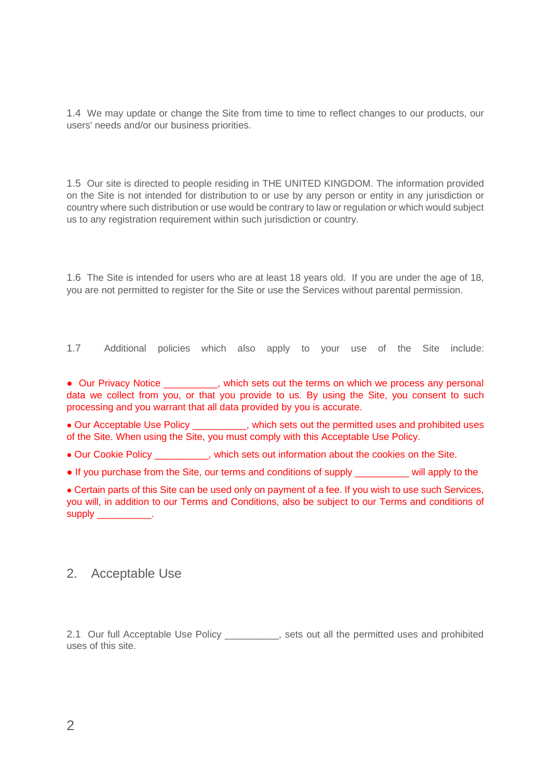1.4 We may update or change the Site from time to time to reflect changes to our products, our users' needs and/or our business priorities.

1.5 Our site is directed to people residing in THE UNITED KINGDOM. The information provided on the Site is not intended for distribution to or use by any person or entity in any jurisdiction or country where such distribution or use would be contrary to law or regulation or which would subject us to any registration requirement within such jurisdiction or country.

1.6 The Site is intended for users who are at least 18 years old. If you are under the age of 18, you are not permitted to register for the Site or use the Services without parental permission.

1.7 Additional policies which also apply to your use of the Site include:

• Our Privacy Notice **and Sets out the terms on which we process any personal** data we collect from you, or that you provide to us. By using the Site, you consent to such processing and you warrant that all data provided by you is accurate.

**●** Our Acceptable Use Policy \_\_\_\_\_\_\_\_\_\_, which sets out the permitted uses and prohibited uses of the Site. When using the Site, you must comply with this Acceptable Use Policy.

**●** Our Cookie Policy \_\_\_\_\_\_\_\_\_\_, which sets out information about the cookies on the Site.

**●** If you purchase from the Site, our terms and conditions of supply \_\_\_\_\_\_\_\_\_\_ will apply to the

**●** Certain parts of this Site can be used only on payment of a fee. If you wish to use such Services, you will, in addition to our Terms and Conditions, also be subject to our Terms and conditions of supply the control of the supply of the control of the control of the control of the control of the control of <br>Supply the control of the control of the control of the control of the control of the control of the control o

# 2. Acceptable Use

2.1 Our full Acceptable Use Policy entity and sets out all the permitted uses and prohibited uses of this site.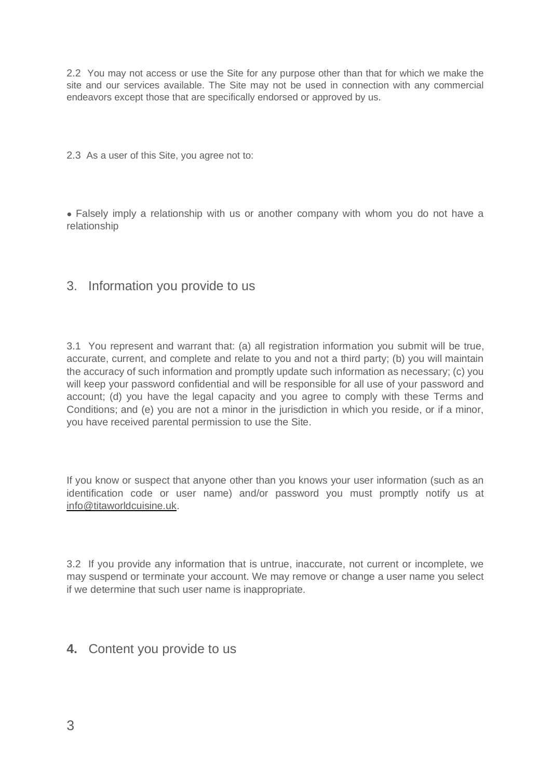2.2 You may not access or use the Site for any purpose other than that for which we make the site and our services available. The Site may not be used in connection with any commercial endeavors except those that are specifically endorsed or approved by us.

2.3 As a user of this Site, you agree not to:

**●** Falsely imply a relationship with us or another company with whom you do not have a relationship

### 3. Information you provide to us

3.1 You represent and warrant that: (a) all registration information you submit will be true, accurate, current, and complete and relate to you and not a third party; (b) you will maintain the accuracy of such information and promptly update such information as necessary; (c) you will keep your password confidential and will be responsible for all use of your password and account; (d) you have the legal capacity and you agree to comply with these Terms and Conditions; and (e) you are not a minor in the jurisdiction in which you reside, or if a minor, you have received parental permission to use the Site.

If you know or suspect that anyone other than you knows your user information (such as an identification code or user name) and/or password you must promptly notify us at [info@titaworldcuisine.uk.](mailto:info@titaworldcuisine.uk)

3.2 If you provide any information that is untrue, inaccurate, not current or incomplete, we may suspend or terminate your account. We may remove or change a user name you select if we determine that such user name is inappropriate.

#### **4.** Content you provide to us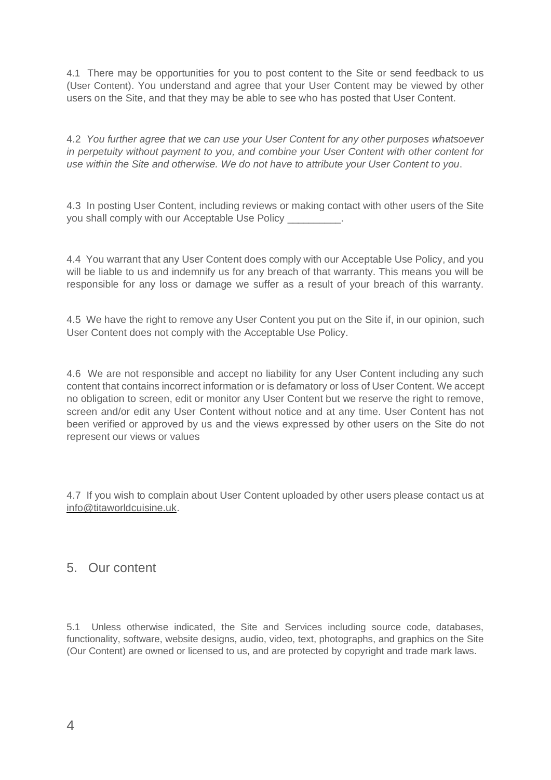4.1 There may be opportunities for you to post content to the Site or send feedback to us (User Content). You understand and agree that your User Content may be viewed by other users on the Site, and that they may be able to see who has posted that User Content.

4.2 *You further agree that we can use your User Content for any other purposes whatsoever in perpetuity without payment to you, and combine your User Content with other content for use within the Site and otherwise. We do not have to attribute your User Content to you*.

4.3 In posting User Content, including reviews or making contact with other users of the Site you shall comply with our Acceptable Use Policy

4.4 You warrant that any User Content does comply with our Acceptable Use Policy, and you will be liable to us and indemnify us for any breach of that warranty. This means you will be responsible for any loss or damage we suffer as a result of your breach of this warranty.

4.5 We have the right to remove any User Content you put on the Site if, in our opinion, such User Content does not comply with the Acceptable Use Policy.

4.6 We are not responsible and accept no liability for any User Content including any such content that contains incorrect information or is defamatory or loss of User Content. We accept no obligation to screen, edit or monitor any User Content but we reserve the right to remove, screen and/or edit any User Content without notice and at any time. User Content has not been verified or approved by us and the views expressed by other users on the Site do not represent our views or values

4.7 If you wish to complain about User Content uploaded by other users please contact us at [info@titaworldcuisine.uk.](mailto:info@titaworldcuisine.uk)

# 5. Our content

5.1 Unless otherwise indicated, the Site and Services including source code, databases, functionality, software, website designs, audio, video, text, photographs, and graphics on the Site (Our Content) are owned or licensed to us, and are protected by copyright and trade mark laws.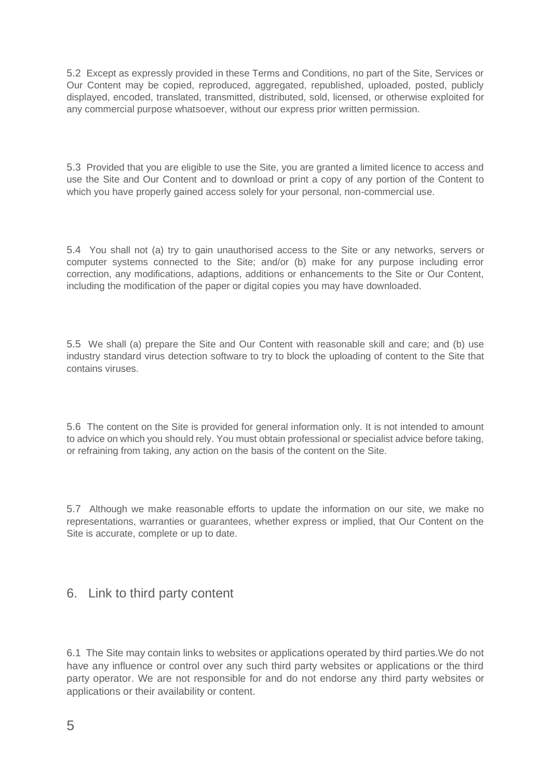5.2 Except as expressly provided in these Terms and Conditions, no part of the Site, Services or Our Content may be copied, reproduced, aggregated, republished, uploaded, posted, publicly displayed, encoded, translated, transmitted, distributed, sold, licensed, or otherwise exploited for any commercial purpose whatsoever, without our express prior written permission.

5.3 Provided that you are eligible to use the Site, you are granted a limited licence to access and use the Site and Our Content and to download or print a copy of any portion of the Content to which you have properly gained access solely for your personal, non-commercial use.

5.4 You shall not (a) try to gain unauthorised access to the Site or any networks, servers or computer systems connected to the Site; and/or (b) make for any purpose including error correction, any modifications, adaptions, additions or enhancements to the Site or Our Content, including the modification of the paper or digital copies you may have downloaded.

5.5 We shall (a) prepare the Site and Our Content with reasonable skill and care; and (b) use industry standard virus detection software to try to block the uploading of content to the Site that contains viruses.

5.6 The content on the Site is provided for general information only. It is not intended to amount to advice on which you should rely. You must obtain professional or specialist advice before taking, or refraining from taking, any action on the basis of the content on the Site.

5.7 Although we make reasonable efforts to update the information on our site, we make no representations, warranties or guarantees, whether express or implied, that Our Content on the Site is accurate, complete or up to date.

# 6. Link to third party content

6.1 The Site may contain links to websites or applications operated by third parties.We do not have any influence or control over any such third party websites or applications or the third party operator. We are not responsible for and do not endorse any third party websites or applications or their availability or content.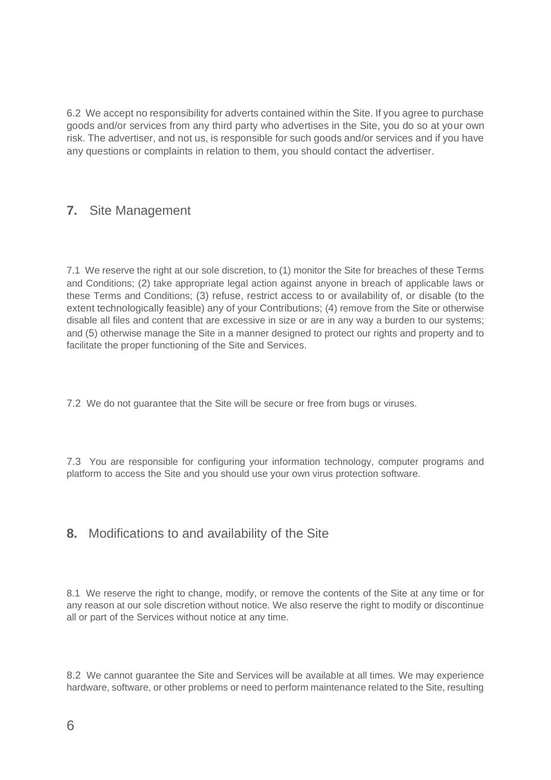6.2 We accept no responsibility for adverts contained within the Site. If you agree to purchase goods and/or services from any third party who advertises in the Site, you do so at your own risk. The advertiser, and not us, is responsible for such goods and/or services and if you have any questions or complaints in relation to them, you should contact the advertiser.

# **7.** Site Management

7.1 We reserve the right at our sole discretion, to (1) monitor the Site for breaches of these Terms and Conditions; (2) take appropriate legal action against anyone in breach of applicable laws or these Terms and Conditions; (3) refuse, restrict access to or availability of, or disable (to the extent technologically feasible) any of your Contributions; (4) remove from the Site or otherwise disable all files and content that are excessive in size or are in any way a burden to our systems; and (5) otherwise manage the Site in a manner designed to protect our rights and property and to facilitate the proper functioning of the Site and Services.

7.2 We do not guarantee that the Site will be secure or free from bugs or viruses.

7.3 You are responsible for configuring your information technology, computer programs and platform to access the Site and you should use your own virus protection software.

# **8.** Modifications to and availability of the Site

8.1 We reserve the right to change, modify, or remove the contents of the Site at any time or for any reason at our sole discretion without notice. We also reserve the right to modify or discontinue all or part of the Services without notice at any time.

8.2 We cannot guarantee the Site and Services will be available at all times. We may experience hardware, software, or other problems or need to perform maintenance related to the Site, resulting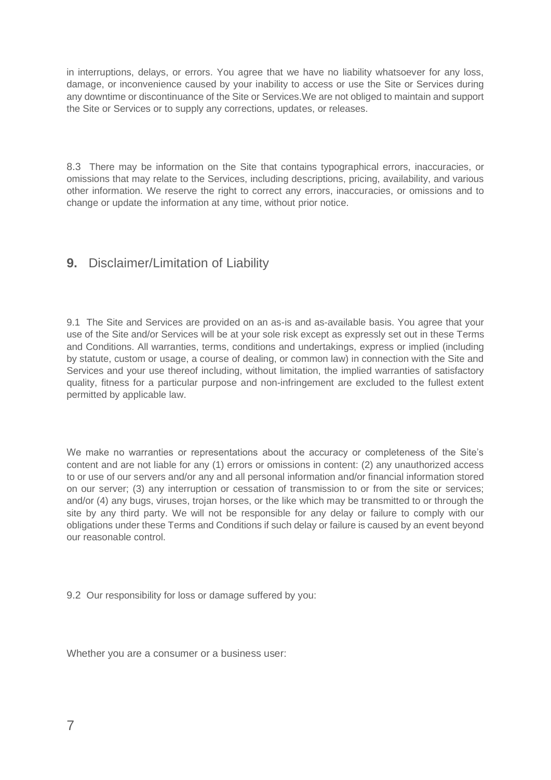in interruptions, delays, or errors. You agree that we have no liability whatsoever for any loss, damage, or inconvenience caused by your inability to access or use the Site or Services during any downtime or discontinuance of the Site or Services.We are not obliged to maintain and support the Site or Services or to supply any corrections, updates, or releases.

8.3 There may be information on the Site that contains typographical errors, inaccuracies, or omissions that may relate to the Services, including descriptions, pricing, availability, and various other information. We reserve the right to correct any errors, inaccuracies, or omissions and to change or update the information at any time, without prior notice.

# **9.** Disclaimer/Limitation of Liability

9.1 The Site and Services are provided on an as-is and as-available basis. You agree that your use of the Site and/or Services will be at your sole risk except as expressly set out in these Terms and Conditions. All warranties, terms, conditions and undertakings, express or implied (including by statute, custom or usage, a course of dealing, or common law) in connection with the Site and Services and your use thereof including, without limitation, the implied warranties of satisfactory quality, fitness for a particular purpose and non-infringement are excluded to the fullest extent permitted by applicable law.

We make no warranties or representations about the accuracy or completeness of the Site's content and are not liable for any (1) errors or omissions in content: (2) any unauthorized access to or use of our servers and/or any and all personal information and/or financial information stored on our server; (3) any interruption or cessation of transmission to or from the site or services; and/or (4) any bugs, viruses, trojan horses, or the like which may be transmitted to or through the site by any third party. We will not be responsible for any delay or failure to comply with our obligations under these Terms and Conditions if such delay or failure is caused by an event beyond our reasonable control.

9.2 Our responsibility for loss or damage suffered by you:

Whether you are a consumer or a business user: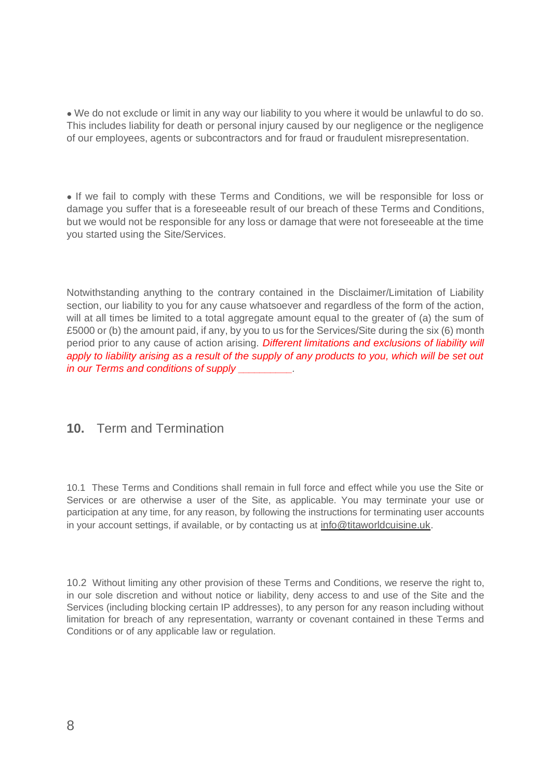**●** We do not exclude or limit in any way our liability to you where it would be unlawful to do so. This includes liability for death or personal injury caused by our negligence or the negligence of our employees, agents or subcontractors and for fraud or fraudulent misrepresentation.

**●** If we fail to comply with these Terms and Conditions, we will be responsible for loss or damage you suffer that is a foreseeable result of our breach of these Terms and Conditions, but we would not be responsible for any loss or damage that were not foreseeable at the time you started using the Site/Services.

Notwithstanding anything to the contrary contained in the Disclaimer/Limitation of Liability section, our liability to you for any cause whatsoever and regardless of the form of the action, will at all times be limited to a total aggregate amount equal to the greater of (a) the sum of £5000 or (b) the amount paid, if any, by you to us for the Services/Site during the six (6) month period prior to any cause of action arising. *Different limitations and exclusions of liability will apply to liability arising as a result of the supply of any products to you, which will be set out in our Terms and conditions of supply \_\_\_\_\_\_\_\_\_\_.*

# **10.** Term and Termination

10.1 These Terms and Conditions shall remain in full force and effect while you use the Site or Services or are otherwise a user of the Site, as applicable. You may terminate your use or participation at any time, for any reason, by following the instructions for terminating user accounts in your account settings, if available, or by contacting us at [info@titaworldcuisine.uk.](mailto:info@titaworldcuisine.uk)

10.2 Without limiting any other provision of these Terms and Conditions, we reserve the right to, in our sole discretion and without notice or liability, deny access to and use of the Site and the Services (including blocking certain IP addresses), to any person for any reason including without limitation for breach of any representation, warranty or covenant contained in these Terms and Conditions or of any applicable law or regulation.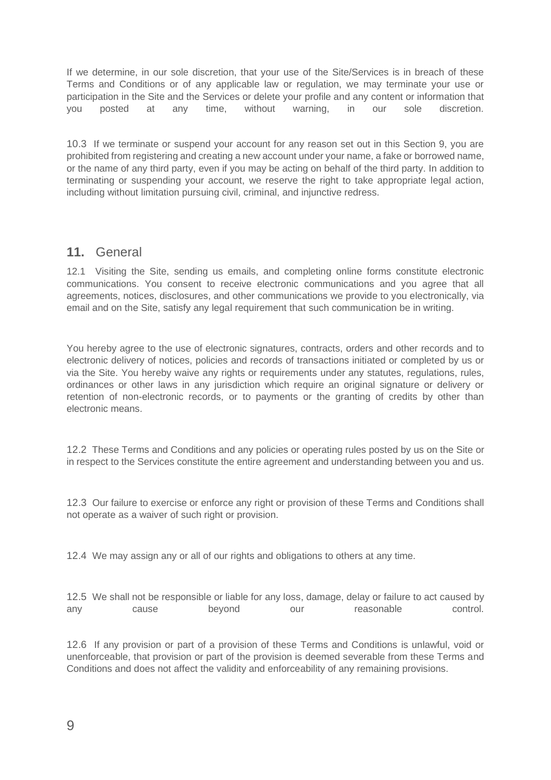If we determine, in our sole discretion, that your use of the Site/Services is in breach of these Terms and Conditions or of any applicable law or regulation, we may terminate your use or participation in the Site and the Services or delete your profile and any content or information that you posted at any time, without warning, in our sole discretion.

10.3 If we terminate or suspend your account for any reason set out in this Section 9, you are prohibited from registering and creating a new account under your name, a fake or borrowed name, or the name of any third party, even if you may be acting on behalf of the third party. In addition to terminating or suspending your account, we reserve the right to take appropriate legal action, including without limitation pursuing civil, criminal, and injunctive redress.

### **11.** General

12.1 Visiting the Site, sending us emails, and completing online forms constitute electronic communications. You consent to receive electronic communications and you agree that all agreements, notices, disclosures, and other communications we provide to you electronically, via email and on the Site, satisfy any legal requirement that such communication be in writing.

You hereby agree to the use of electronic signatures, contracts, orders and other records and to electronic delivery of notices, policies and records of transactions initiated or completed by us or via the Site. You hereby waive any rights or requirements under any statutes, regulations, rules, ordinances or other laws in any jurisdiction which require an original signature or delivery or retention of non-electronic records, or to payments or the granting of credits by other than electronic means.

12.2 These Terms and Conditions and any policies or operating rules posted by us on the Site or in respect to the Services constitute the entire agreement and understanding between you and us.

12.3 Our failure to exercise or enforce any right or provision of these Terms and Conditions shall not operate as a waiver of such right or provision.

12.4 We may assign any or all of our rights and obligations to others at any time.

12.5 We shall not be responsible or liable for any loss, damage, delay or failure to act caused by any cause beyond our reasonable control.

12.6 If any provision or part of a provision of these Terms and Conditions is unlawful, void or unenforceable, that provision or part of the provision is deemed severable from these Terms and Conditions and does not affect the validity and enforceability of any remaining provisions.